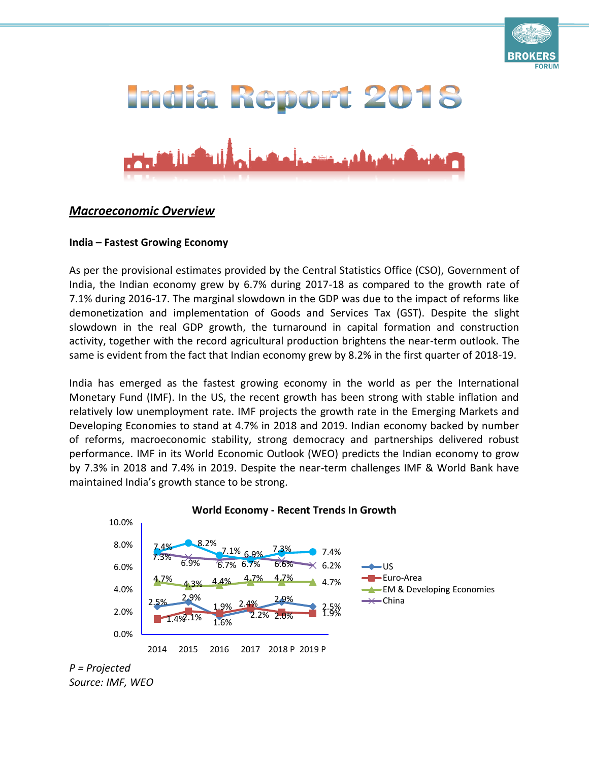

# India Report 2018



# *Macroeconomic Overview*

#### **India – Fastest Growing Economy**

As per the provisional estimates provided by the Central Statistics Office (CSO), Government of India, the Indian economy grew by 6.7% during 2017-18 as compared to the growth rate of 7.1% during 2016-17. The marginal slowdown in the GDP was due to the impact of reforms like demonetization and implementation of Goods and Services Tax (GST). Despite the slight slowdown in the real GDP growth, the turnaround in capital formation and construction activity, together with the record agricultural production brightens the near-term outlook. The same is evident from the fact that Indian economy grew by 8.2% in the first quarter of 2018-19.

India has emerged as the fastest growing economy in the world as per the International Monetary Fund (IMF). In the US, the recent growth has been strong with stable inflation and relatively low unemployment rate. IMF projects the growth rate in the Emerging Markets and Developing Economies to stand at 4.7% in 2018 and 2019. Indian economy backed by number of reforms, macroeconomic stability, strong democracy and partnerships delivered robust performance. IMF in its World Economic Outlook (WEO) predicts the Indian economy to grow by 7.3% in 2018 and 7.4% in 2019. Despite the near-term challenges IMF & World Bank have maintained India's growth stance to be strong.



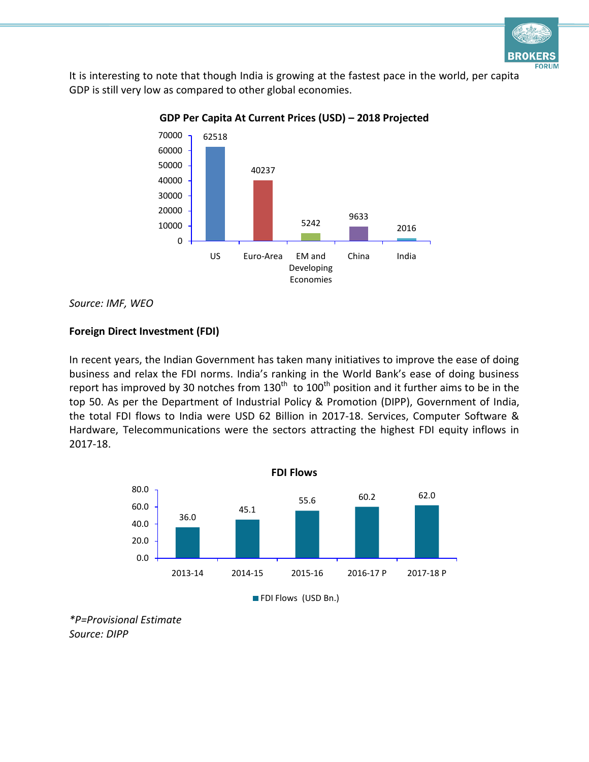

It is interesting to note that though India is growing at the fastest pace in the world, per capita GDP is still very low as compared to other global economies.



**GDP Per Capita At Current Prices (USD) – 2018 Projected**

*Source: IMF, WEO*

# **Foreign Direct Investment (FDI)**

In recent years, the Indian Government has taken many initiatives to improve the ease of doing business and relax the FDI norms. India's ranking in the World Bank's ease of doing business report has improved by 30 notches from 130<sup>th</sup> to 100<sup>th</sup> position and it further aims to be in the top 50. As per the Department of Industrial Policy & Promotion (DIPP), Government of India, the total FDI flows to India were USD 62 Billion in 2017-18. Services, Computer Software & Hardware, Telecommunications were the sectors attracting the highest FDI equity inflows in 2017-18.



*\*P=Provisional Estimate Source: DIPP*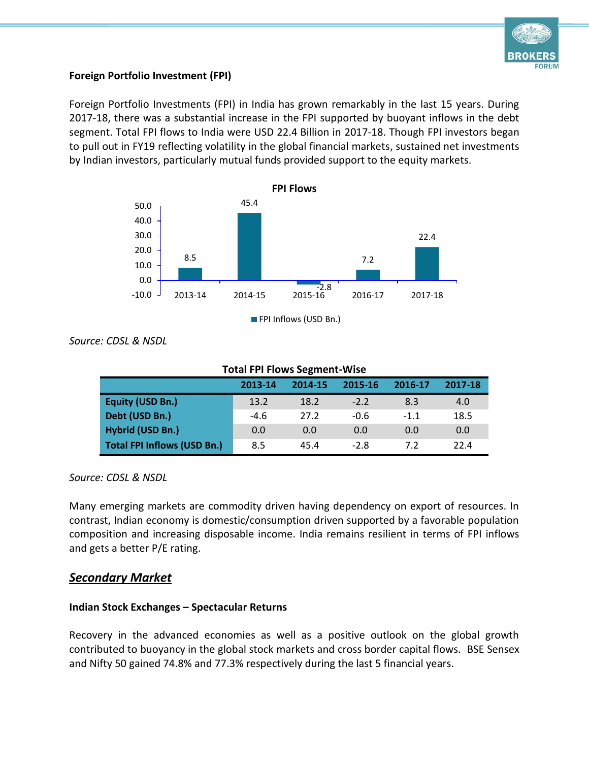

#### **Foreign Portfolio Investment (FPI)**

Foreign Portfolio Investments (FPI) in India has grown remarkably in the last 15 years. During 2017-18, there was a substantial increase in the FPI supported by buoyant inflows in the debt segment. Total FPI flows to India were USD 22.4 Billion in 2017-18. Though FPI investors began to pull out in FY19 reflecting volatility in the global financial markets, sustained net investments by Indian investors, particularly mutual funds provided support to the equity markets.



*Source: CDSL & NSDL*

| <b>Total FPI Flows Segment-Wise</b> |         |         |         |         |         |  |
|-------------------------------------|---------|---------|---------|---------|---------|--|
|                                     | 2013-14 | 2014-15 | 2015-16 | 2016-17 | 2017-18 |  |
| <b>Equity (USD Bn.)</b>             | 13.2    | 18.2    | $-2.2$  | 8.3     | 4.0     |  |
| Debt (USD Bn.)                      | $-4.6$  | 27.2    | $-0.6$  | $-1.1$  | 18.5    |  |
| Hybrid (USD Bn.)                    | 0.0     | 0.0     | 0.0     | 0.0     | 0.0     |  |
| <b>Total FPI Inflows (USD Bn.)</b>  | 8.5     | 45.4    | $-2.8$  | 7.2     | 22.4    |  |

*Source: CDSL & NSDL*

Many emerging markets are commodity driven having dependency on export of resources. In contrast, Indian economy is domestic/consumption driven supported by a favorable population composition and increasing disposable income. India remains resilient in terms of FPI inflows and gets a better P/E rating.

# *Secondary Market*

# **Indian Stock Exchanges – Spectacular Returns**

Recovery in the advanced economies as well as a positive outlook on the global growth contributed to buoyancy in the global stock markets and cross border capital flows. BSE Sensex and Nifty 50 gained 74.8% and 77.3% respectively during the last 5 financial years.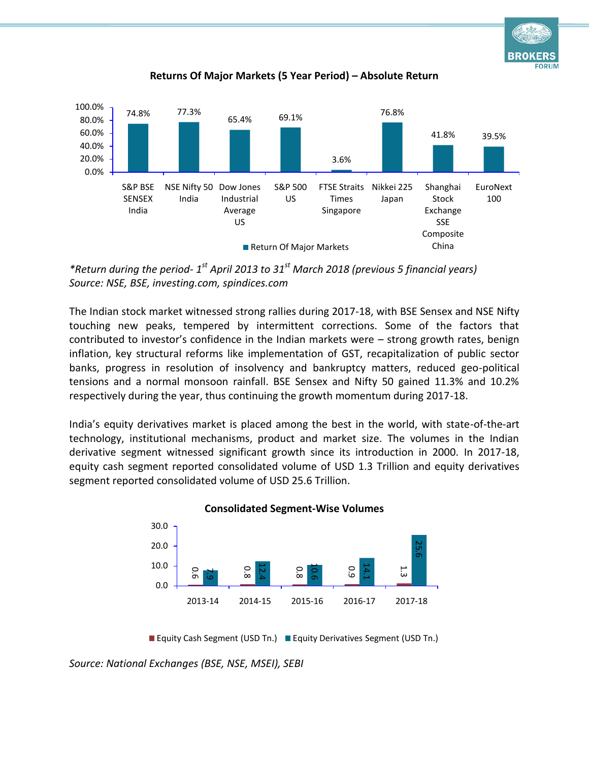**FORUM** 





*\*Return during the period- 1 st April 2013 to 31st March 2018 (previous 5 financial years) Source: NSE, BSE, investing.com, spindices.com*

The Indian stock market witnessed strong rallies during 2017-18, with BSE Sensex and NSE Nifty touching new peaks, tempered by intermittent corrections. Some of the factors that contributed to investor's confidence in the Indian markets were – strong growth rates, benign inflation, key structural reforms like implementation of GST, recapitalization of public sector banks, progress in resolution of insolvency and bankruptcy matters, reduced geo-political tensions and a normal monsoon rainfall. BSE Sensex and Nifty 50 gained 11.3% and 10.2% respectively during the year, thus continuing the growth momentum during 2017-18.

India's equity derivatives market is placed among the best in the world, with state-of-the-art technology, institutional mechanisms, product and market size. The volumes in the Indian derivative segment witnessed significant growth since its introduction in 2000. In 2017-18, equity cash segment reported consolidated volume of USD 1.3 Trillion and equity derivatives segment reported consolidated volume of USD 25.6 Trillion.



**Consolidated Segment-Wise Volumes**

<sup>■</sup> Equity Cash Segment (USD Tn.) ■ Equity Derivatives Segment (USD Tn.)

*Source: National Exchanges (BSE, NSE, MSEI), SEBI*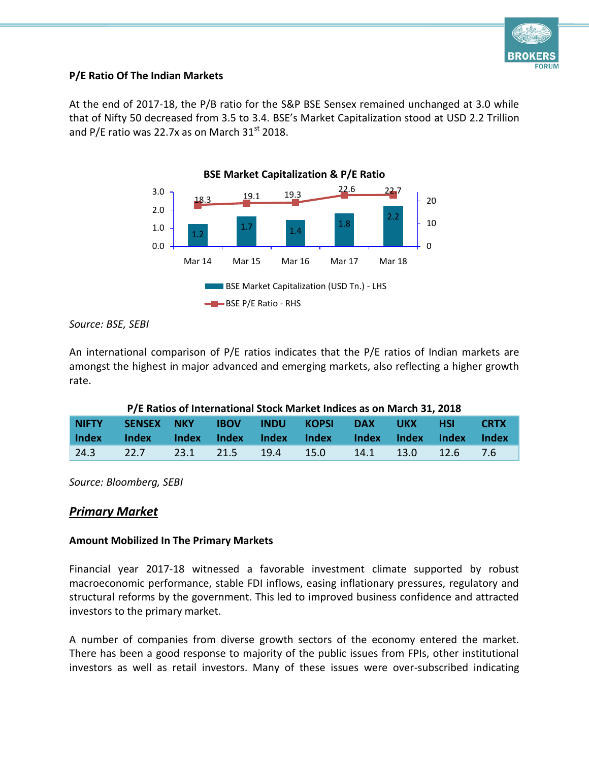

# **P/E Ratio Of The Indian Markets**

At the end of 2017-18, the P/B ratio for the S&P BSE Sensex remained unchanged at 3.0 while that of Nifty 50 decreased from 3.5 to 3.4. BSE's Market Capitalization stood at USD 2.2 Trillion and P/E ratio was 22.7x as on March  $31<sup>st</sup>$  2018.



*Source: BSE, SEBI*

An international comparison of P/E ratios indicates that the P/E ratios of Indian markets are amongst the highest in major advanced and emerging markets, also reflecting a higher growth rate.

| P/E Ratios of International Stock Market Indices as on March 31, 2018 |            |        |              |              |              |              |              |              |             |
|-----------------------------------------------------------------------|------------|--------|--------------|--------------|--------------|--------------|--------------|--------------|-------------|
| <b>NIFTY</b>                                                          | SENSEX NKY |        | <b>IBOV</b>  | <b>INDU</b>  | <b>KOPSI</b> | <b>DAX</b>   | UKX .        | -HSI         | <b>CRTX</b> |
|                                                                       |            |        |              |              |              |              |              |              |             |
| <b>Index</b>                                                          | Index      | /Index | <b>Index</b> | <b>Index</b> | <b>Index</b> | <b>Index</b> | <b>Index</b> | <b>Index</b> | Index       |

*Source: Bloomberg, SEBI*

# *Primary Market*

#### **Amount Mobilized In The Primary Markets**

Financial year 2017-18 witnessed a favorable investment climate supported by robust macroeconomic performance, stable FDI inflows, easing inflationary pressures, regulatory and structural reforms by the government. This led to improved business confidence and attracted investors to the primary market.

A number of companies from diverse growth sectors of the economy entered the market. There has been a good response to majority of the public issues from FPIs, other institutional investors as well as retail investors. Many of these issues were over-subscribed indicating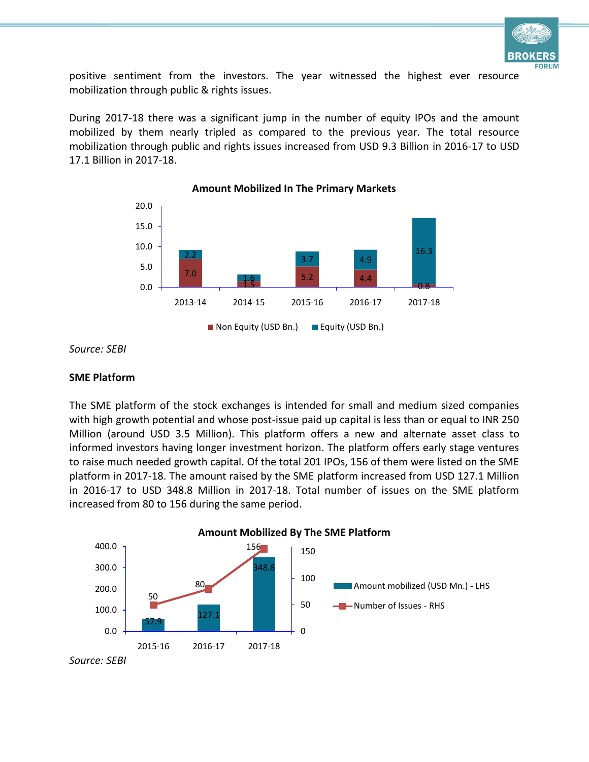

positive sentiment from the investors. The year witnessed the highest ever resource mobilization through public & rights issues.

During 2017-18 there was a significant jump in the number of equity IPOs and the amount mobilized by them nearly tripled as compared to the previous year. The total resource mobilization through public and rights issues increased from USD 9.3 Billion in 2016-17 to USD 17.1 Billion in 2017-18.



**Amount Mobilized In The Primary Markets**

*Source: SEBI*

#### **SME Platform**

The SME platform of the stock exchanges is intended for small and medium sized companies with high growth potential and whose post-issue paid up capital is less than or equal to INR 250 Million (around USD 3.5 Million). This platform offers a new and alternate asset class to informed investors having longer investment horizon. The platform offers early stage ventures to raise much needed growth capital. Of the total 201 IPOs, 156 of them were listed on the SME platform in 2017-18. The amount raised by the SME platform increased from USD 127.1 Million in 2016-17 to USD 348.8 Million in 2017-18. Total number of issues on the SME platform increased from 80 to 156 during the same period.



**Amount Mobilized By The SME Platform**

*Source: SEBI*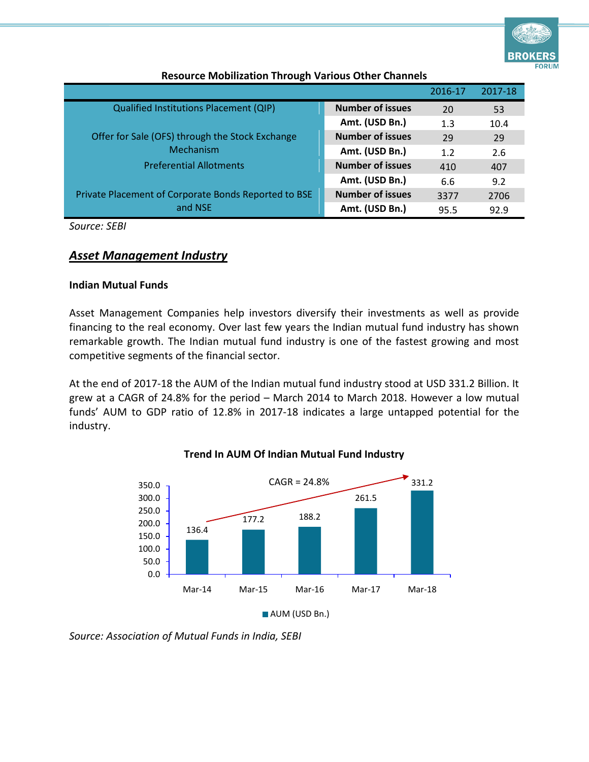

|                                                      |                         | 2016-17 | 2017-18 |
|------------------------------------------------------|-------------------------|---------|---------|
| <b>Qualified Institutions Placement (QIP)</b>        | <b>Number of issues</b> | 20      | 53      |
|                                                      | Amt. (USD Bn.)          | 1.3     | 10.4    |
| Offer for Sale (OFS) through the Stock Exchange      | <b>Number of issues</b> | 29      | 29      |
| Mechanism                                            | Amt. (USD Bn.)          | 1.2     | 2.6     |
| <b>Preferential Allotments</b>                       | <b>Number of issues</b> | 410     | 407     |
|                                                      | Amt. (USD Bn.)          | 6.6     | 9.2     |
| Private Placement of Corporate Bonds Reported to BSE | <b>Number of issues</b> | 3377    | 2706    |
| and NSE                                              | Amt. (USD Bn.)          | 95.5    | 92.9    |

#### **Resource Mobilization Through Various Other Channels**

*Source: SEBI*

# *Asset Management Industry*

#### **Indian Mutual Funds**

Asset Management Companies help investors diversify their investments as well as provide financing to the real economy. Over last few years the Indian mutual fund industry has shown remarkable growth. The Indian mutual fund industry is one of the fastest growing and most competitive segments of the financial sector.

At the end of 2017-18 the AUM of the Indian mutual fund industry stood at USD 331.2 Billion. It grew at a CAGR of 24.8% for the period – March 2014 to March 2018. However a low mutual funds' AUM to GDP ratio of 12.8% in 2017-18 indicates a large untapped potential for the industry.



#### **Trend In AUM Of Indian Mutual Fund Industry**

*Source: Association of Mutual Funds in India, SEBI*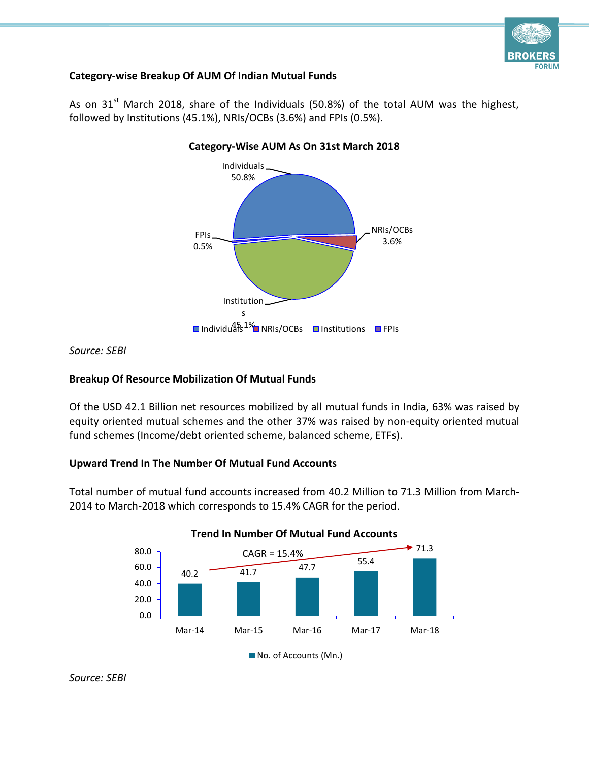

# **Category-wise Breakup Of AUM Of Indian Mutual Funds**



As on  $31^{st}$  March 2018, share of the Individuals (50.8%) of the total AUM was the highest, followed by Institutions (45.1%), NRIs/OCBs (3.6%) and FPIs (0.5%).

*Source: SEBI*

# **Breakup Of Resource Mobilization Of Mutual Funds**

Of the USD 42.1 Billion net resources mobilized by all mutual funds in India, 63% was raised by equity oriented mutual schemes and the other 37% was raised by non-equity oriented mutual fund schemes (Income/debt oriented scheme, balanced scheme, ETFs).

# **Upward Trend In The Number Of Mutual Fund Accounts**

Total number of mutual fund accounts increased from 40.2 Million to 71.3 Million from March-2014 to March-2018 which corresponds to 15.4% CAGR for the period.



**Trend In Number Of Mutual Fund Accounts**



<sup>■</sup> No. of Accounts (Mn.)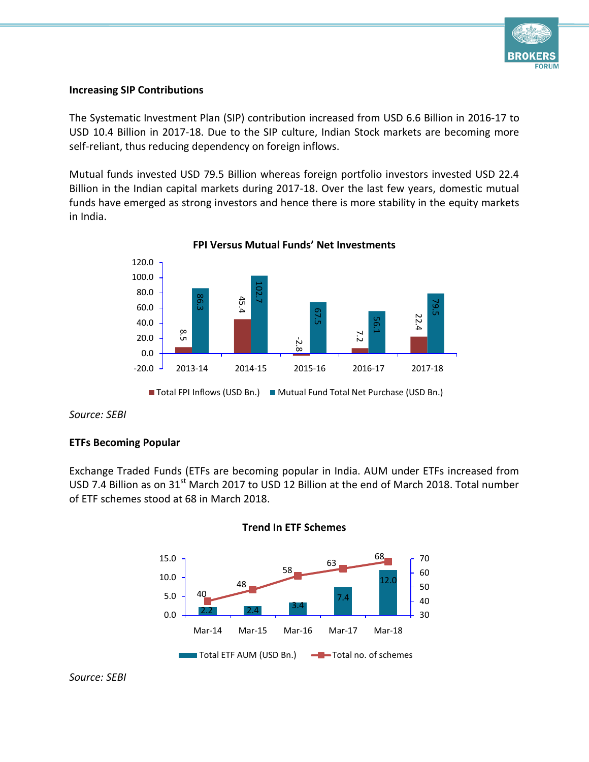

#### **Increasing SIP Contributions**

The Systematic Investment Plan (SIP) contribution increased from USD 6.6 Billion in 2016-17 to USD 10.4 Billion in 2017-18. Due to the SIP culture, Indian Stock markets are becoming more self-reliant, thus reducing dependency on foreign inflows.

Mutual funds invested USD 79.5 Billion whereas foreign portfolio investors invested USD 22.4 Billion in the Indian capital markets during 2017-18. Over the last few years, domestic mutual funds have emerged as strong investors and hence there is more stability in the equity markets in India.



**FPI Versus Mutual Funds' Net Investments**

*Source: SEBI*

# **ETFs Becoming Popular**

Exchange Traded Funds (ETFs are becoming popular in India. AUM under ETFs increased from USD 7.4 Billion as on 31<sup>st</sup> March 2017 to USD 12 Billion at the end of March 2018. Total number of ETF schemes stood at 68 in March 2018.





*Source: SEBI*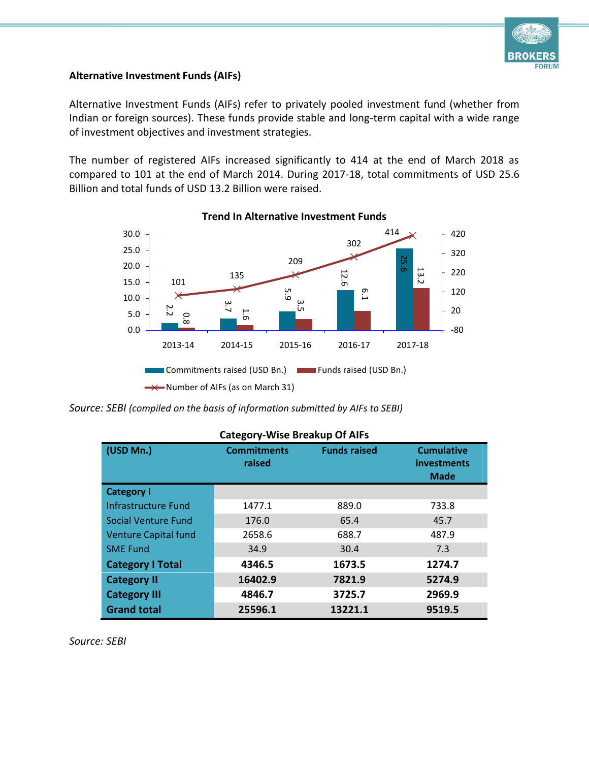

#### **Alternative Investment Funds (AIFs)**

Alternative Investment Funds (AIFs) refer to privately pooled investment fund (whether from Indian or foreign sources). These funds provide stable and long-term capital with a wide range of investment objectives and investment strategies.

The number of registered AIFs increased significantly to 414 at the end of March 2018 as compared to 101 at the end of March 2014. During 2017-18, total commitments of USD 25.6 Billion and total funds of USD 13.2 Billion were raised.



#### **Trend In Alternative Investment Funds**

*Source: SEBI (compiled on the basis of information submitted by AIFs to SEBI)*

| <b>Category-Wise Breakup Of AIFs</b> |                              |                     |                                                 |  |  |
|--------------------------------------|------------------------------|---------------------|-------------------------------------------------|--|--|
| (USD Mn.)                            | <b>Commitments</b><br>raised | <b>Funds raised</b> | <b>Cumulative</b><br>investments<br><b>Made</b> |  |  |
| <b>Category I</b>                    |                              |                     |                                                 |  |  |
| Infrastructure Fund                  | 1477.1                       | 889.0               | 733.8                                           |  |  |
| Social Venture Fund                  | 176.0                        | 65.4                | 45.7                                            |  |  |
| <b>Venture Capital fund</b>          | 2658.6                       | 688.7               | 487.9                                           |  |  |
| <b>SME Fund</b>                      | 34.9                         | 30.4                | 7.3                                             |  |  |
| <b>Category I Total</b>              | 4346.5                       | 1673.5              | 1274.7                                          |  |  |
| <b>Category II</b>                   | 16402.9                      | 7821.9              | 5274.9                                          |  |  |
| <b>Category III</b>                  | 4846.7                       | 3725.7              | 2969.9                                          |  |  |
| <b>Grand total</b>                   | 25596.1                      | 13221.1             | 9519.5                                          |  |  |

*Source: SEBI*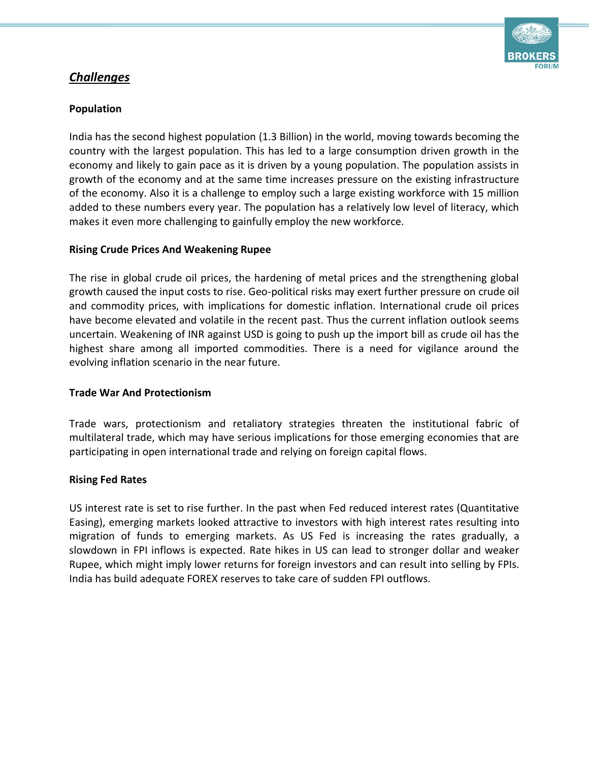

# *Challenges*

# **Population**

India has the second highest population (1.3 Billion) in the world, moving towards becoming the country with the largest population. This has led to a large consumption driven growth in the economy and likely to gain pace as it is driven by a young population. The population assists in growth of the economy and at the same time increases pressure on the existing infrastructure of the economy. Also it is a challenge to employ such a large existing workforce with 15 million added to these numbers every year. The population has a relatively low level of literacy, which makes it even more challenging to gainfully employ the new workforce.

#### **Rising Crude Prices And Weakening Rupee**

The rise in global crude oil prices, the hardening of metal prices and the strengthening global growth caused the input costs to rise. Geo-political risks may exert further pressure on crude oil and commodity prices, with implications for domestic inflation. International crude oil prices have become elevated and volatile in the recent past. Thus the current inflation outlook seems uncertain. Weakening of INR against USD is going to push up the import bill as crude oil has the highest share among all imported commodities. There is a need for vigilance around the evolving inflation scenario in the near future.

#### **Trade War And Protectionism**

Trade wars, protectionism and retaliatory strategies threaten the institutional fabric of multilateral trade, which may have serious implications for those emerging economies that are participating in open international trade and relying on foreign capital flows.

#### **Rising Fed Rates**

US interest rate is set to rise further. In the past when Fed reduced interest rates (Quantitative Easing), emerging markets looked attractive to investors with high interest rates resulting into migration of funds to emerging markets. As US Fed is increasing the rates gradually, a slowdown in FPI inflows is expected. Rate hikes in US can lead to stronger dollar and weaker Rupee, which might imply lower returns for foreign investors and can result into selling by FPIs. India has build adequate FOREX reserves to take care of sudden FPI outflows.